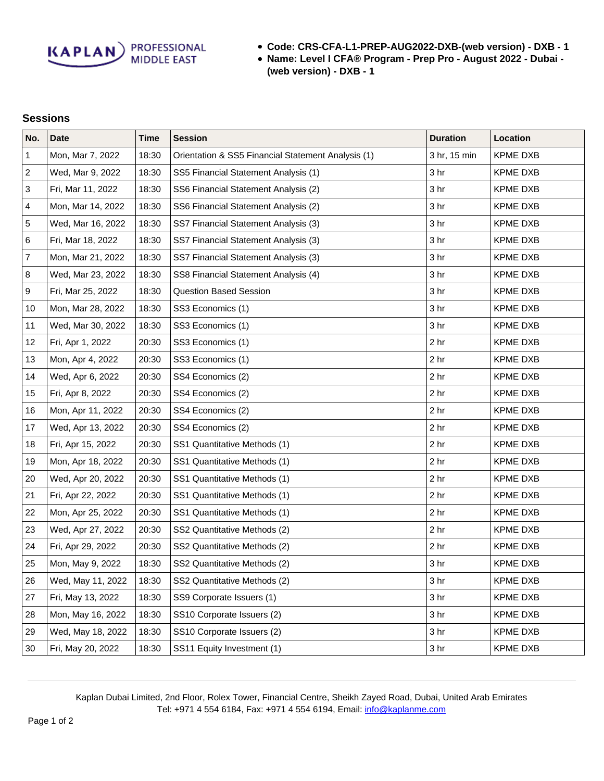**Code: CRS-CFA-L1-PREP-AUG2022-DXB-(web version) - DXB - 1**

**Name: Level I CFA® Program - Prep Pro - August 2022 - Dubai - (web version) - DXB - 1**

## **Sessions**

| No.              | <b>Date</b>       | <b>Time</b> | <b>Session</b>                                     | <b>Duration</b> | Location        |
|------------------|-------------------|-------------|----------------------------------------------------|-----------------|-----------------|
| 1                | Mon, Mar 7, 2022  | 18:30       | Orientation & SS5 Financial Statement Analysis (1) | 3 hr, 15 min    | <b>KPME DXB</b> |
| $\overline{c}$   | Wed, Mar 9, 2022  | 18:30       | SS5 Financial Statement Analysis (1)               | 3 hr            | <b>KPME DXB</b> |
| $\sqrt{3}$       | Fri, Mar 11, 2022 | 18:30       | SS6 Financial Statement Analysis (2)               | 3 <sub>hr</sub> | <b>KPME DXB</b> |
| $\overline{4}$   | Mon, Mar 14, 2022 | 18:30       | SS6 Financial Statement Analysis (2)               | 3 <sub>hr</sub> | <b>KPME DXB</b> |
| 5                | Wed, Mar 16, 2022 | 18:30       | SS7 Financial Statement Analysis (3)               | 3 <sub>hr</sub> | <b>KPME DXB</b> |
| 6                | Fri, Mar 18, 2022 | 18:30       | SS7 Financial Statement Analysis (3)               | 3 <sub>hr</sub> | <b>KPME DXB</b> |
| $\boldsymbol{7}$ | Mon, Mar 21, 2022 | 18:30       | SS7 Financial Statement Analysis (3)               | 3 <sub>hr</sub> | <b>KPME DXB</b> |
| 8                | Wed, Mar 23, 2022 | 18:30       | SS8 Financial Statement Analysis (4)               | 3 <sub>hr</sub> | <b>KPME DXB</b> |
| $\boldsymbol{9}$ | Fri, Mar 25, 2022 | 18:30       | <b>Question Based Session</b>                      | 3 <sub>hr</sub> | <b>KPME DXB</b> |
| 10               | Mon, Mar 28, 2022 | 18:30       | SS3 Economics (1)                                  | 3 hr            | <b>KPME DXB</b> |
| 11               | Wed, Mar 30, 2022 | 18:30       | SS3 Economics (1)                                  | 3 <sub>hr</sub> | <b>KPME DXB</b> |
| 12               | Fri, Apr 1, 2022  | 20:30       | SS3 Economics (1)                                  | 2 <sub>hr</sub> | <b>KPME DXB</b> |
| 13               | Mon, Apr 4, 2022  | 20:30       | SS3 Economics (1)                                  | 2 <sub>hr</sub> | <b>KPME DXB</b> |
| 14               | Wed, Apr 6, 2022  | 20:30       | SS4 Economics (2)                                  | 2 <sub>hr</sub> | <b>KPME DXB</b> |
| 15               | Fri, Apr 8, 2022  | 20:30       | SS4 Economics (2)                                  | 2 <sub>hr</sub> | <b>KPME DXB</b> |
| 16               | Mon, Apr 11, 2022 | 20:30       | SS4 Economics (2)                                  | 2 <sub>hr</sub> | <b>KPME DXB</b> |
| 17               | Wed, Apr 13, 2022 | 20:30       | SS4 Economics (2)                                  | 2 <sub>hr</sub> | <b>KPME DXB</b> |
| 18               | Fri, Apr 15, 2022 | 20:30       | SS1 Quantitative Methods (1)                       | 2 <sub>hr</sub> | <b>KPME DXB</b> |
| 19               | Mon, Apr 18, 2022 | 20:30       | SS1 Quantitative Methods (1)                       | 2 <sub>hr</sub> | <b>KPME DXB</b> |
| 20               | Wed, Apr 20, 2022 | 20:30       | SS1 Quantitative Methods (1)                       | 2 <sub>hr</sub> | <b>KPME DXB</b> |
| 21               | Fri, Apr 22, 2022 | 20:30       | SS1 Quantitative Methods (1)                       | 2 <sub>hr</sub> | <b>KPME DXB</b> |
| 22               | Mon, Apr 25, 2022 | 20:30       | SS1 Quantitative Methods (1)                       | 2 <sub>hr</sub> | <b>KPME DXB</b> |
| 23               | Wed, Apr 27, 2022 | 20:30       | SS2 Quantitative Methods (2)                       | 2 <sub>hr</sub> | <b>KPME DXB</b> |
| 24               | Fri, Apr 29, 2022 | 20:30       | SS2 Quantitative Methods (2)                       | 2 <sub>hr</sub> | <b>KPME DXB</b> |
| 25               | Mon, May 9, 2022  | 18:30       | SS2 Quantitative Methods (2)                       | 3 <sub>hr</sub> | <b>KPME DXB</b> |
| 26               | Wed, May 11, 2022 | 18:30       | SS2 Quantitative Methods (2)                       | 3 <sub>hr</sub> | <b>KPME DXB</b> |
| 27               | Fri, May 13, 2022 | 18:30       | SS9 Corporate Issuers (1)                          | 3 <sub>hr</sub> | <b>KPME DXB</b> |
| 28               | Mon, May 16, 2022 | 18:30       | SS10 Corporate Issuers (2)                         | 3 <sub>hr</sub> | <b>KPME DXB</b> |
| 29               | Wed, May 18, 2022 | 18:30       | SS10 Corporate Issuers (2)                         | 3 <sub>hr</sub> | <b>KPME DXB</b> |
| 30               | Fri, May 20, 2022 | 18:30       | SS11 Equity Investment (1)                         | 3 <sub>hr</sub> | <b>KPME DXB</b> |

Kaplan Dubai Limited, 2nd Floor, Rolex Tower, Financial Centre, Sheikh Zayed Road, Dubai, United Arab Emirates Tel: +971 4 554 6184, Fax: +971 4 554 6194, Email: [info@kaplanme.com](mailto:info@kaplanme.com)